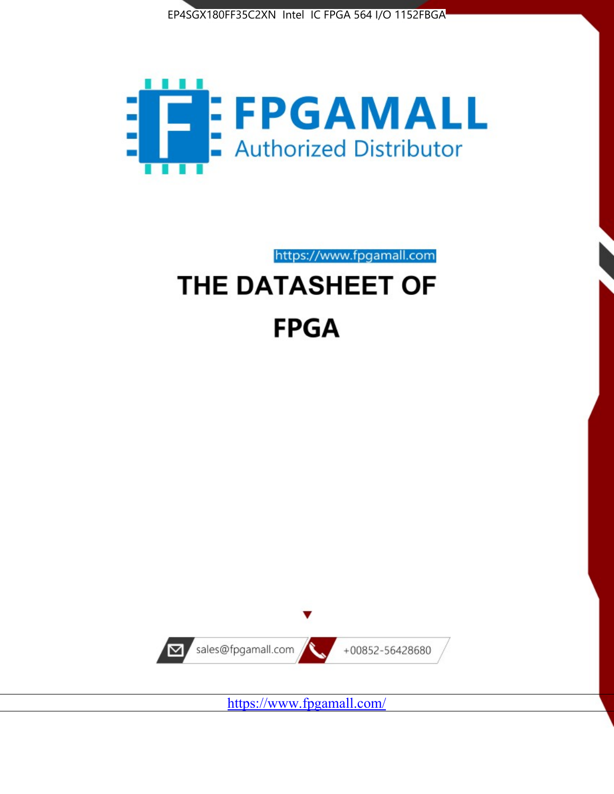



https://www.fpgamall.com

# THE DATASHEET OF **FPGA**



<https://www.fpgamall.com/>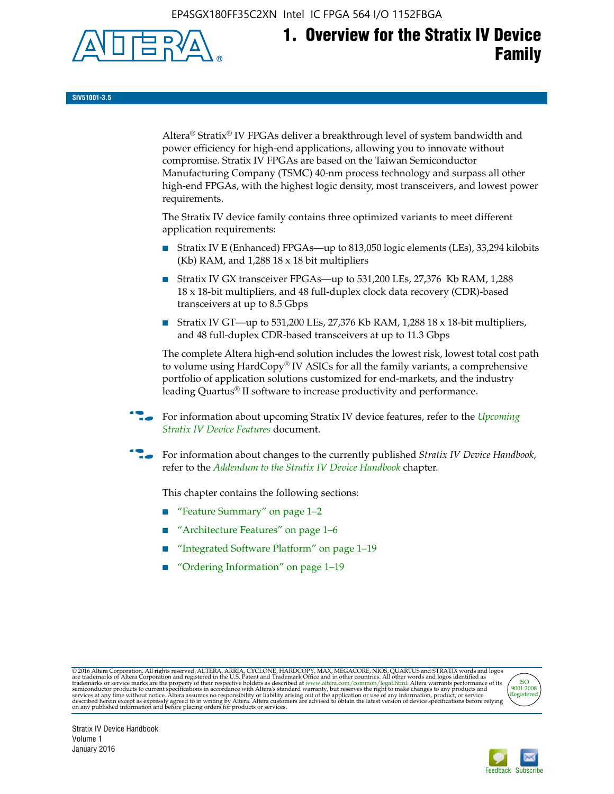EP4SGX180FF35C2XN Intel IC FPGA 564 I/O 1152FBGA



# **1. Overview for the Stratix IV Device Family**

**SIV51001-3.5**

Altera® Stratix® IV FPGAs deliver a breakthrough level of system bandwidth and power efficiency for high-end applications, allowing you to innovate without compromise. Stratix IV FPGAs are based on the Taiwan Semiconductor Manufacturing Company (TSMC) 40-nm process technology and surpass all other high-end FPGAs, with the highest logic density, most transceivers, and lowest power requirements.

The Stratix IV device family contains three optimized variants to meet different application requirements:

- Stratix IV E (Enhanced) FPGAs—up to 813,050 logic elements (LEs), 33,294 kilobits (Kb) RAM, and 1,288 18 x 18 bit multipliers
- Stratix IV GX transceiver FPGAs—up to 531,200 LEs, 27,376 Kb RAM, 1,288 18 x 18-bit multipliers, and 48 full-duplex clock data recovery (CDR)-based transceivers at up to 8.5 Gbps
- Stratix IV GT—up to 531,200 LEs, 27,376 Kb RAM, 1,288 18 x 18-bit multipliers, and 48 full-duplex CDR-based transceivers at up to 11.3 Gbps

The complete Altera high-end solution includes the lowest risk, lowest total cost path to volume using HardCopy® IV ASICs for all the family variants, a comprehensive portfolio of application solutions customized for end-markets, and the industry leading Quartus® II software to increase productivity and performance.

For information about upcoming Stratix IV device features, refer to the *Upcoming [Stratix IV Device Features](http://www.altera.com/literature/hb/stratix-iv/uf01001.pdf?GSA_pos=2&WT.oss_r=1&WT.oss=upcoming)* document.

f For information about changes to the currently published *Stratix IV Device Handbook*, refer to the *[Addendum to the Stratix IV Device Handbook](http://www.altera.com/literature/hb/stratix-iv/stx4_siv54002.pdf)* chapter.

This chapter contains the following sections:

- "Feature Summary" on page 1–2
- "Architecture Features" on page 1–6
- "Integrated Software Platform" on page 1–19
- "Ordering Information" on page 1–19

@ 2016 Altera Corporation. All rights reserved. ALTERA, ARRIA, CYCLONE, HARDCOPY, MAX, MEGACORE, NIOS, QUARTUS and STRATIX words and logos are trademarks of Altera Corporation and registered in the U.S. Patent and Trademar



Stratix IV Device Handbook Volume 1 January 2016

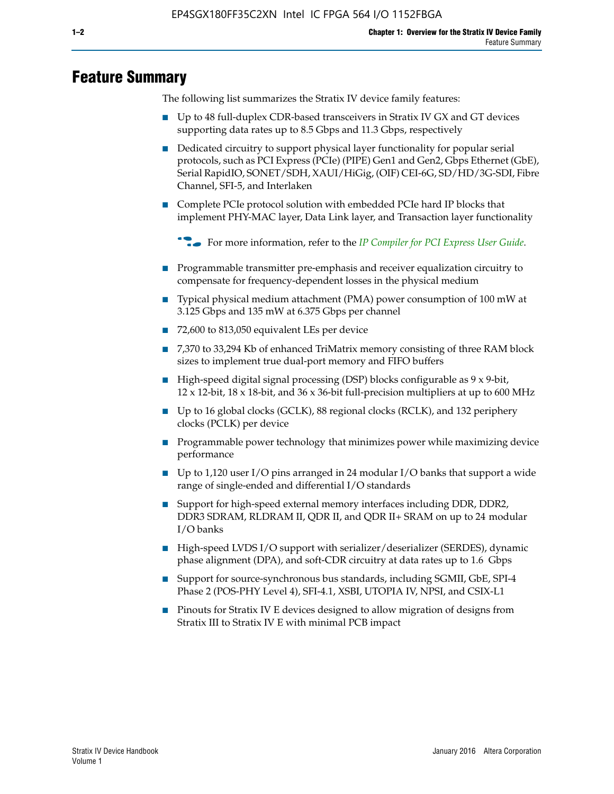# **Feature Summary**

The following list summarizes the Stratix IV device family features:

- Up to 48 full-duplex CDR-based transceivers in Stratix IV GX and GT devices supporting data rates up to 8.5 Gbps and 11.3 Gbps, respectively
- Dedicated circuitry to support physical layer functionality for popular serial protocols, such as PCI Express (PCIe) (PIPE) Gen1 and Gen2, Gbps Ethernet (GbE), Serial RapidIO, SONET/SDH, XAUI/HiGig, (OIF) CEI-6G, SD/HD/3G-SDI, Fibre Channel, SFI-5, and Interlaken
- Complete PCIe protocol solution with embedded PCIe hard IP blocks that implement PHY-MAC layer, Data Link layer, and Transaction layer functionality

**For more information, refer to the** *[IP Compiler for PCI Express User Guide](http://www.altera.com/literature/ug/ug_pci_express.pdf)***.** 

- Programmable transmitter pre-emphasis and receiver equalization circuitry to compensate for frequency-dependent losses in the physical medium
- Typical physical medium attachment (PMA) power consumption of 100 mW at 3.125 Gbps and 135 mW at 6.375 Gbps per channel
- 72,600 to 813,050 equivalent LEs per device
- 7,370 to 33,294 Kb of enhanced TriMatrix memory consisting of three RAM block sizes to implement true dual-port memory and FIFO buffers
- High-speed digital signal processing (DSP) blocks configurable as 9 x 9-bit,  $12 \times 12$ -bit,  $18 \times 18$ -bit, and  $36 \times 36$ -bit full-precision multipliers at up to 600 MHz
- Up to 16 global clocks (GCLK), 88 regional clocks (RCLK), and 132 periphery clocks (PCLK) per device
- Programmable power technology that minimizes power while maximizing device performance
- Up to 1,120 user I/O pins arranged in 24 modular I/O banks that support a wide range of single-ended and differential I/O standards
- Support for high-speed external memory interfaces including DDR, DDR2, DDR3 SDRAM, RLDRAM II, QDR II, and QDR II+ SRAM on up to 24 modular I/O banks
- High-speed LVDS I/O support with serializer/deserializer (SERDES), dynamic phase alignment (DPA), and soft-CDR circuitry at data rates up to 1.6 Gbps
- Support for source-synchronous bus standards, including SGMII, GbE, SPI-4 Phase 2 (POS-PHY Level 4), SFI-4.1, XSBI, UTOPIA IV, NPSI, and CSIX-L1
- Pinouts for Stratix IV E devices designed to allow migration of designs from Stratix III to Stratix IV E with minimal PCB impact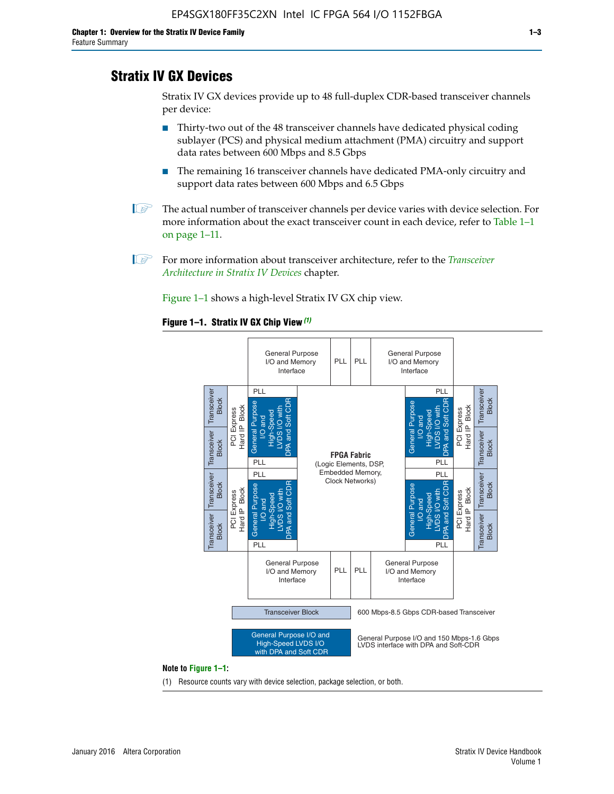# **Stratix IV GX Devices**

Stratix IV GX devices provide up to 48 full-duplex CDR-based transceiver channels per device:

- Thirty-two out of the 48 transceiver channels have dedicated physical coding sublayer (PCS) and physical medium attachment (PMA) circuitry and support data rates between 600 Mbps and 8.5 Gbps
- The remaining 16 transceiver channels have dedicated PMA-only circuitry and support data rates between 600 Mbps and 6.5 Gbps
- **1 The actual number of transceiver channels per device varies with device selection. For** more information about the exact transceiver count in each device, refer to Table 1–1 on page 1–11.
- 1 For more information about transceiver architecture, refer to the *[Transceiver](http://www.altera.com/literature/hb/stratix-iv/stx4_siv52001.pdf)  [Architecture in Stratix IV Devices](http://www.altera.com/literature/hb/stratix-iv/stx4_siv52001.pdf)* chapter.

Figure 1–1 shows a high-level Stratix IV GX chip view.

#### **Figure 1–1. Stratix IV GX Chip View** *(1)*



#### **Note to Figure 1–1:**

(1) Resource counts vary with device selection, package selection, or both.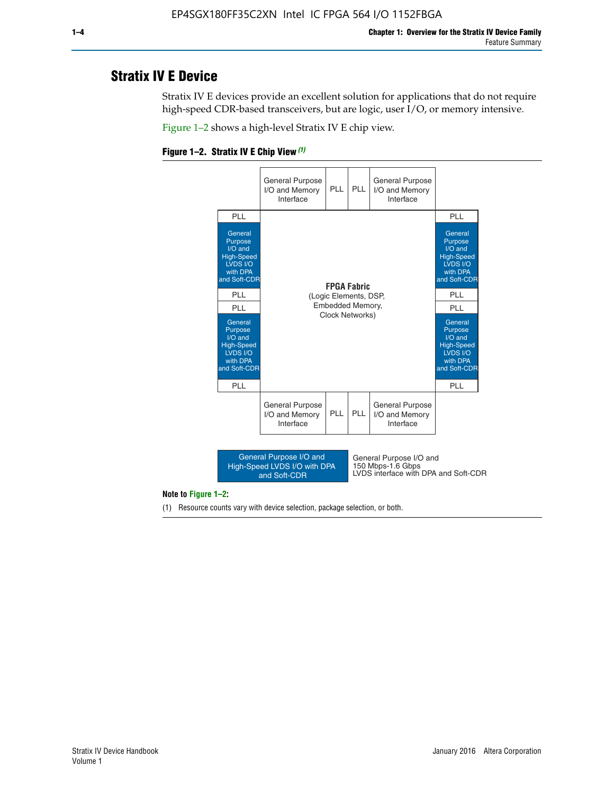# **Stratix IV E Device**

Stratix IV E devices provide an excellent solution for applications that do not require high-speed CDR-based transceivers, but are logic, user I/O, or memory intensive.

Figure 1–2 shows a high-level Stratix IV E chip view.





#### **Note to Figure 1–2:**

(1) Resource counts vary with device selection, package selection, or both.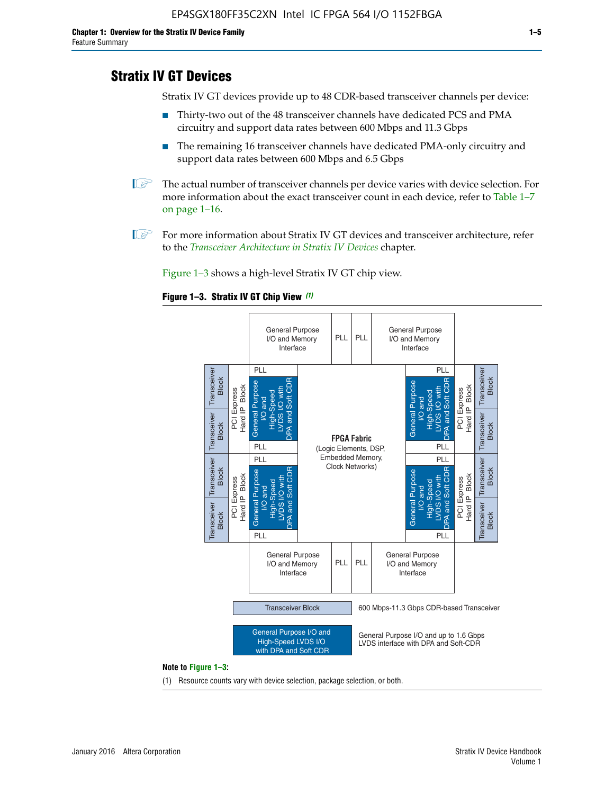# **Stratix IV GT Devices**

Stratix IV GT devices provide up to 48 CDR-based transceiver channels per device:

- Thirty-two out of the 48 transceiver channels have dedicated PCS and PMA circuitry and support data rates between 600 Mbps and 11.3 Gbps
- The remaining 16 transceiver channels have dedicated PMA-only circuitry and support data rates between 600 Mbps and 6.5 Gbps
- **1** The actual number of transceiver channels per device varies with device selection. For more information about the exact transceiver count in each device, refer to Table 1–7 on page 1–16.
- $\mathbb{I}$  For more information about Stratix IV GT devices and transceiver architecture, refer to the *[Transceiver Architecture in Stratix IV Devices](http://www.altera.com/literature/hb/stratix-iv/stx4_siv52001.pdf)* chapter.

Figure 1–3 shows a high-level Stratix IV GT chip view.





(1) Resource counts vary with device selection, package selection, or both.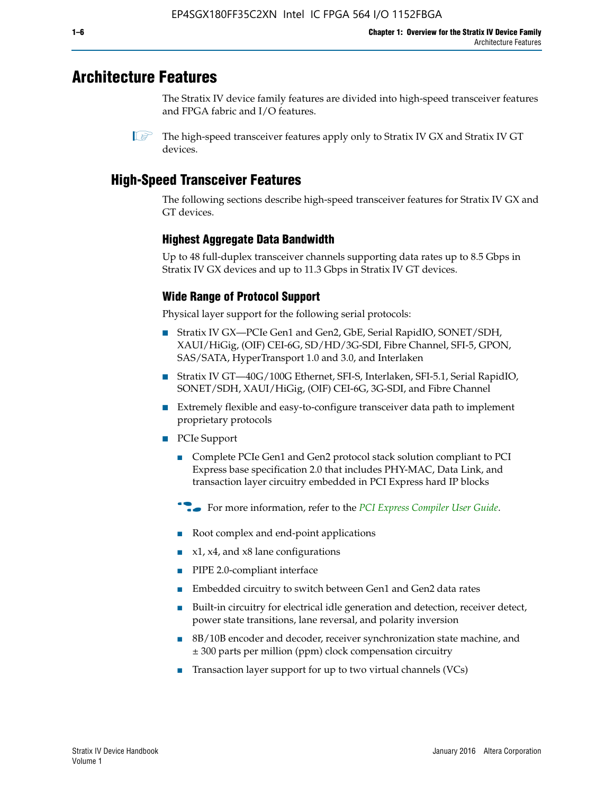# **Architecture Features**

The Stratix IV device family features are divided into high-speed transceiver features and FPGA fabric and I/O features.

# **High-Speed Transceiver Features**

The following sections describe high-speed transceiver features for Stratix IV GX and GT devices.

## **Highest Aggregate Data Bandwidth**

Up to 48 full-duplex transceiver channels supporting data rates up to 8.5 Gbps in Stratix IV GX devices and up to 11.3 Gbps in Stratix IV GT devices.

# **Wide Range of Protocol Support**

Physical layer support for the following serial protocols:

- Stratix IV GX—PCIe Gen1 and Gen2, GbE, Serial RapidIO, SONET/SDH, XAUI/HiGig, (OIF) CEI-6G, SD/HD/3G-SDI, Fibre Channel, SFI-5, GPON, SAS/SATA, HyperTransport 1.0 and 3.0, and Interlaken
- Stratix IV GT—40G/100G Ethernet, SFI-S, Interlaken, SFI-5.1, Serial RapidIO, SONET/SDH, XAUI/HiGig, (OIF) CEI-6G, 3G-SDI, and Fibre Channel
- Extremely flexible and easy-to-configure transceiver data path to implement proprietary protocols
- PCIe Support
	- Complete PCIe Gen1 and Gen2 protocol stack solution compliant to PCI Express base specification 2.0 that includes PHY-MAC, Data Link, and transaction layer circuitry embedded in PCI Express hard IP blocks
	- **For more information, refer to the [PCI Express Compiler User Guide](http://www.altera.com/literature/ug/ug_pci_express.pdf).**
	- Root complex and end-point applications
	- $x1, x4,$  and  $x8$  lane configurations
	- PIPE 2.0-compliant interface
	- Embedded circuitry to switch between Gen1 and Gen2 data rates
	- Built-in circuitry for electrical idle generation and detection, receiver detect, power state transitions, lane reversal, and polarity inversion
	- 8B/10B encoder and decoder, receiver synchronization state machine, and ± 300 parts per million (ppm) clock compensation circuitry
	- Transaction layer support for up to two virtual channels (VCs)

 $\mathbb{I}$  The high-speed transceiver features apply only to Stratix IV GX and Stratix IV GT devices.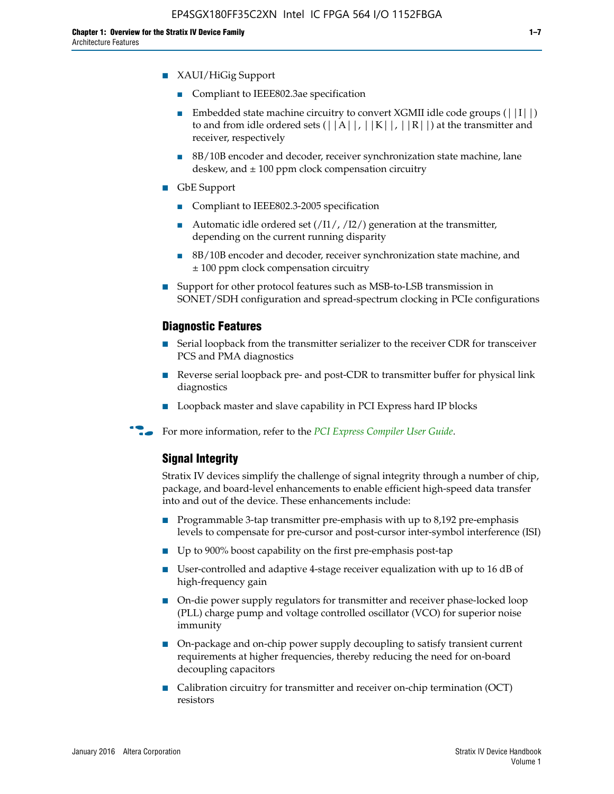- XAUI/HiGig Support
	- Compliant to IEEE802.3ae specification
	- **■** Embedded state machine circuitry to convert XGMII idle code groups  $(|11|)$ to and from idle ordered sets  $(|A|, |K|, |R|)$  at the transmitter and receiver, respectively
	- 8B/10B encoder and decoder, receiver synchronization state machine, lane deskew, and  $\pm$  100 ppm clock compensation circuitry
- GbE Support
	- Compliant to IEEE802.3-2005 specification
	- Automatic idle ordered set  $(111/112/1)$  generation at the transmitter, depending on the current running disparity
	- 8B/10B encoder and decoder, receiver synchronization state machine, and ± 100 ppm clock compensation circuitry
- Support for other protocol features such as MSB-to-LSB transmission in SONET/SDH configuration and spread-spectrum clocking in PCIe configurations

#### **Diagnostic Features**

- Serial loopback from the transmitter serializer to the receiver CDR for transceiver PCS and PMA diagnostics
- Reverse serial loopback pre- and post-CDR to transmitter buffer for physical link diagnostics
- Loopback master and slave capability in PCI Express hard IP blocks
- **For more information, refer to the** *[PCI Express Compiler User Guide](http://www.altera.com/literature/ug/ug_pci_express.pdf)***.**

#### **Signal Integrity**

Stratix IV devices simplify the challenge of signal integrity through a number of chip, package, and board-level enhancements to enable efficient high-speed data transfer into and out of the device. These enhancements include:

- Programmable 3-tap transmitter pre-emphasis with up to 8,192 pre-emphasis levels to compensate for pre-cursor and post-cursor inter-symbol interference (ISI)
- Up to 900% boost capability on the first pre-emphasis post-tap
- User-controlled and adaptive 4-stage receiver equalization with up to 16 dB of high-frequency gain
- On-die power supply regulators for transmitter and receiver phase-locked loop (PLL) charge pump and voltage controlled oscillator (VCO) for superior noise immunity
- On-package and on-chip power supply decoupling to satisfy transient current requirements at higher frequencies, thereby reducing the need for on-board decoupling capacitors
- Calibration circuitry for transmitter and receiver on-chip termination (OCT) resistors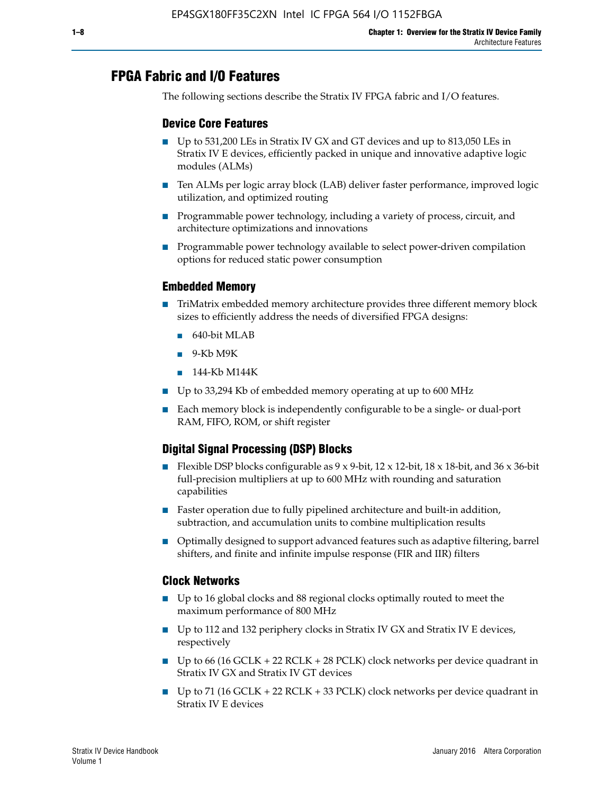# **FPGA Fabric and I/O Features**

The following sections describe the Stratix IV FPGA fabric and I/O features.

### **Device Core Features**

- Up to 531,200 LEs in Stratix IV GX and GT devices and up to 813,050 LEs in Stratix IV E devices, efficiently packed in unique and innovative adaptive logic modules (ALMs)
- Ten ALMs per logic array block (LAB) deliver faster performance, improved logic utilization, and optimized routing
- Programmable power technology, including a variety of process, circuit, and architecture optimizations and innovations
- Programmable power technology available to select power-driven compilation options for reduced static power consumption

#### **Embedded Memory**

- TriMatrix embedded memory architecture provides three different memory block sizes to efficiently address the needs of diversified FPGA designs:
	- 640-bit MLAB
	- 9-Kb M9K
	- 144-Kb M144K
- Up to 33,294 Kb of embedded memory operating at up to 600 MHz
- Each memory block is independently configurable to be a single- or dual-port RAM, FIFO, ROM, or shift register

## **Digital Signal Processing (DSP) Blocks**

- Flexible DSP blocks configurable as  $9 \times 9$ -bit,  $12 \times 12$ -bit,  $18 \times 18$ -bit, and  $36 \times 36$ -bit full-precision multipliers at up to 600 MHz with rounding and saturation capabilities
- Faster operation due to fully pipelined architecture and built-in addition, subtraction, and accumulation units to combine multiplication results
- Optimally designed to support advanced features such as adaptive filtering, barrel shifters, and finite and infinite impulse response (FIR and IIR) filters

#### **Clock Networks**

- Up to 16 global clocks and 88 regional clocks optimally routed to meet the maximum performance of 800 MHz
- Up to 112 and 132 periphery clocks in Stratix IV GX and Stratix IV E devices, respectively
- Up to 66 (16 GCLK + 22 RCLK + 28 PCLK) clock networks per device quadrant in Stratix IV GX and Stratix IV GT devices
- Up to 71 (16 GCLK + 22 RCLK + 33 PCLK) clock networks per device quadrant in Stratix IV E devices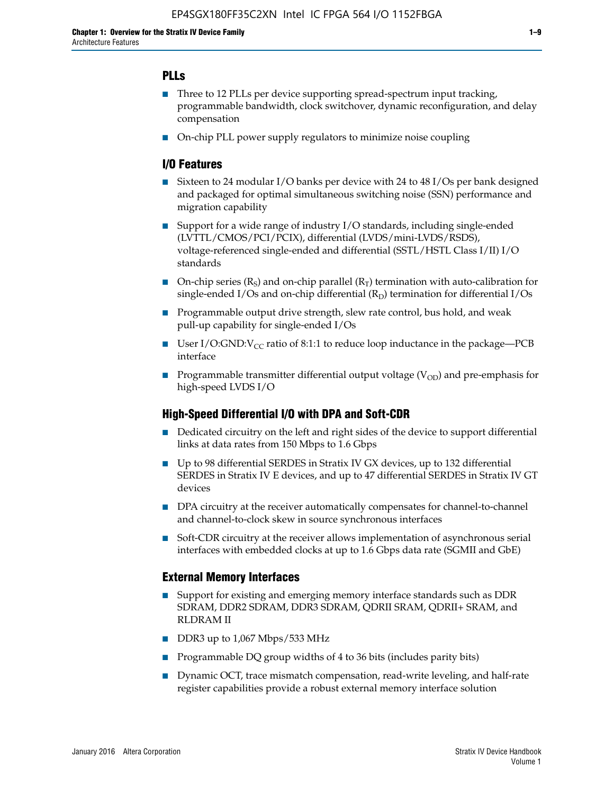## **PLLs**

- Three to 12 PLLs per device supporting spread-spectrum input tracking, programmable bandwidth, clock switchover, dynamic reconfiguration, and delay compensation
- On-chip PLL power supply regulators to minimize noise coupling

#### **I/O Features**

- Sixteen to 24 modular I/O banks per device with 24 to 48 I/Os per bank designed and packaged for optimal simultaneous switching noise (SSN) performance and migration capability
- Support for a wide range of industry I/O standards, including single-ended (LVTTL/CMOS/PCI/PCIX), differential (LVDS/mini-LVDS/RSDS), voltage-referenced single-ended and differential (SSTL/HSTL Class I/II) I/O standards
- **O**n-chip series  $(R_S)$  and on-chip parallel  $(R_T)$  termination with auto-calibration for single-ended I/Os and on-chip differential  $(R_D)$  termination for differential I/Os
- Programmable output drive strength, slew rate control, bus hold, and weak pull-up capability for single-ended I/Os
- User I/O:GND: $V_{CC}$  ratio of 8:1:1 to reduce loop inductance in the package—PCB interface
- **■** Programmable transmitter differential output voltage ( $V_{OD}$ ) and pre-emphasis for high-speed LVDS I/O

#### **High-Speed Differential I/O with DPA and Soft-CDR**

- Dedicated circuitry on the left and right sides of the device to support differential links at data rates from 150 Mbps to 1.6 Gbps
- Up to 98 differential SERDES in Stratix IV GX devices, up to 132 differential SERDES in Stratix IV E devices, and up to 47 differential SERDES in Stratix IV GT devices
- DPA circuitry at the receiver automatically compensates for channel-to-channel and channel-to-clock skew in source synchronous interfaces
- Soft-CDR circuitry at the receiver allows implementation of asynchronous serial interfaces with embedded clocks at up to 1.6 Gbps data rate (SGMII and GbE)

#### **External Memory Interfaces**

- Support for existing and emerging memory interface standards such as DDR SDRAM, DDR2 SDRAM, DDR3 SDRAM, QDRII SRAM, QDRII+ SRAM, and RLDRAM II
- DDR3 up to 1,067 Mbps/533 MHz
- Programmable DQ group widths of 4 to 36 bits (includes parity bits)
- Dynamic OCT, trace mismatch compensation, read-write leveling, and half-rate register capabilities provide a robust external memory interface solution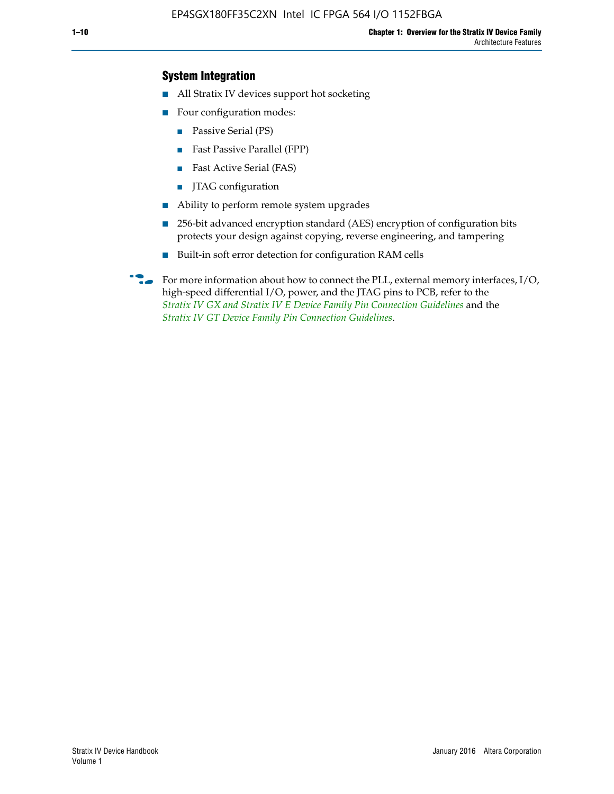## **System Integration**

- All Stratix IV devices support hot socketing
- Four configuration modes:
	- Passive Serial (PS)
	- Fast Passive Parallel (FPP)
	- Fast Active Serial (FAS)
	- JTAG configuration
- Ability to perform remote system upgrades
- 256-bit advanced encryption standard (AES) encryption of configuration bits protects your design against copying, reverse engineering, and tampering
- Built-in soft error detection for configuration RAM cells
- For more information about how to connect the PLL, external memory interfaces,  $I/O$ , high-speed differential I/O, power, and the JTAG pins to PCB, refer to the *[Stratix IV GX and Stratix IV E Device Family Pin Connection Guidelines](http://www.altera.com/literature/dp/stratix4/PCG-01005.pdf)* and the *[Stratix IV GT Device Family Pin Connection Guidelines](http://www.altera.com/literature/dp/stratix4/PCG-01006.pdf)*.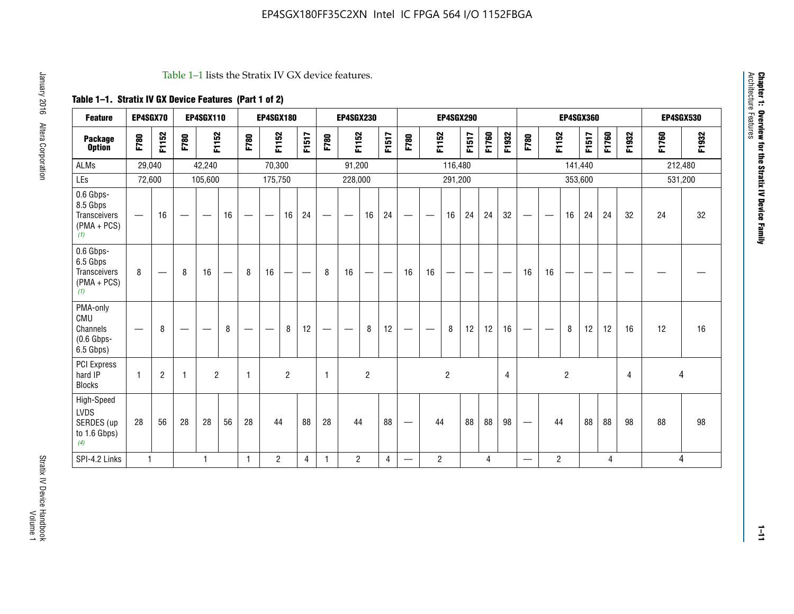#### Table 1–1 lists the Stratix IV GX device features.

# **Table 1–1. Stratix IV GX Device Features (Part 1 of 2)**

| <b>Feature</b>                                                       | EP4SGX70                       |                |                                  | <b>EP4SGX110</b> |    |                                | <b>EP4SGX180</b>               |                |       |              | <b>EP4SGX230</b>         |                          |                               |      |                | <b>EP4SGX290</b> |       |       |       |                          |                   |                | <b>EP4SGX360</b> |       |       |         | <b>EP4SGX530</b> |
|----------------------------------------------------------------------|--------------------------------|----------------|----------------------------------|------------------|----|--------------------------------|--------------------------------|----------------|-------|--------------|--------------------------|--------------------------|-------------------------------|------|----------------|------------------|-------|-------|-------|--------------------------|-------------------|----------------|------------------|-------|-------|---------|------------------|
| <b>Package</b><br><b>Option</b>                                      | F780                           | F1152          | F780                             | F1152            |    | F780                           | F1152                          |                | F1517 | F780         | F1152                    |                          | F1517                         | F780 | F1152          |                  | F1517 | F1760 | F1932 | F780                     | F1152             |                | F1517            | F1760 | F1932 | F1760   | F1932            |
| ALMs                                                                 | 29,040                         |                |                                  | 42,240           |    |                                | 70,300                         |                |       |              | 91,200                   |                          |                               |      |                | 116,480          |       |       |       |                          |                   |                | 141,440          |       |       | 212,480 |                  |
| LEs                                                                  | 72,600                         |                |                                  | 105,600          |    |                                | 175,750                        |                |       |              | 228,000                  |                          |                               |      |                | 291,200          |       |       |       |                          |                   |                | 353,600          |       |       |         | 531,200          |
| 0.6 Gbps-<br>8.5 Gbps<br>Transceivers<br>$(PMA + PCs)$<br>(1)        | $\overline{\phantom{0}}$       | 16             |                                  |                  | 16 |                                | $\qquad \qquad \longleftarrow$ | 16             | 24    |              |                          | 16                       | 24                            |      |                | 16               | 24    | 24    | 32    | $\overline{\phantom{0}}$ |                   | 16             | 24               | 24    | 32    | 24      | 32               |
| 0.6 Gbps-<br>6.5 Gbps<br><b>Transceivers</b><br>$(PMA + PCs)$<br>(1) | 8                              |                | 8                                | 16               | –  | 8                              | 16                             | -              |       | 8            | 16                       | $\overline{\phantom{0}}$ | $\overbrace{\phantom{aaaaa}}$ | 16   | 16             |                  | -     |       |       | 16                       | 16                |                |                  |       |       |         |                  |
| PMA-only<br>CMU<br>Channels<br>$(0.6$ Gbps-<br>6.5 Gbps)             | $\qquad \qquad \longleftarrow$ | 8              | $\overbrace{\phantom{12322111}}$ |                  | 8  | $\qquad \qquad \longleftarrow$ |                                | 8              | 12    | -            | $\overline{\phantom{a}}$ | 8                        | 12                            |      |                | 8                | 12    | 12    | 16    | $\overline{\phantom{0}}$ | $\hspace{0.05cm}$ | 8              | 12               | 12    | 16    | 12      | 16               |
| PCI Express<br>hard IP<br><b>Blocks</b>                              | $\mathbf{1}$                   | $\overline{2}$ |                                  | $\overline{2}$   |    | 1                              |                                | $\overline{2}$ |       | $\mathbf{1}$ |                          | $\overline{c}$           |                               |      |                | $\overline{c}$   |       |       | 4     |                          |                   | $\overline{2}$ |                  |       | 4     |         | 4                |
| High-Speed<br>LVDS<br>SERDES (up<br>to 1.6 Gbps)<br>(4)              | 28                             | 56             | 28                               | 28               | 56 | 28                             | 44                             |                | 88    | 28           | 44                       |                          | 88                            | —    | 44             |                  | 88    | 88    | 98    |                          | 44                |                | 88               | 88    | 98    | 88      | 98               |
| SPI-4.2 Links                                                        | $\mathbf{1}$                   |                |                                  | 1                |    | $\mathbf{1}$                   | $\overline{c}$                 |                | 4     | 1            | $\overline{c}$           |                          | $\overline{4}$                | —    | $\overline{2}$ |                  |       | 4     |       | $\overline{\phantom{0}}$ | $\overline{2}$    |                |                  | 4     |       |         | 4                |

**Chapter 1: Overview for the Stratix IV Device Family**

**Chapter 1: Overview for the Stratix IV Device Family**<br>Architecture Features

Architecture Features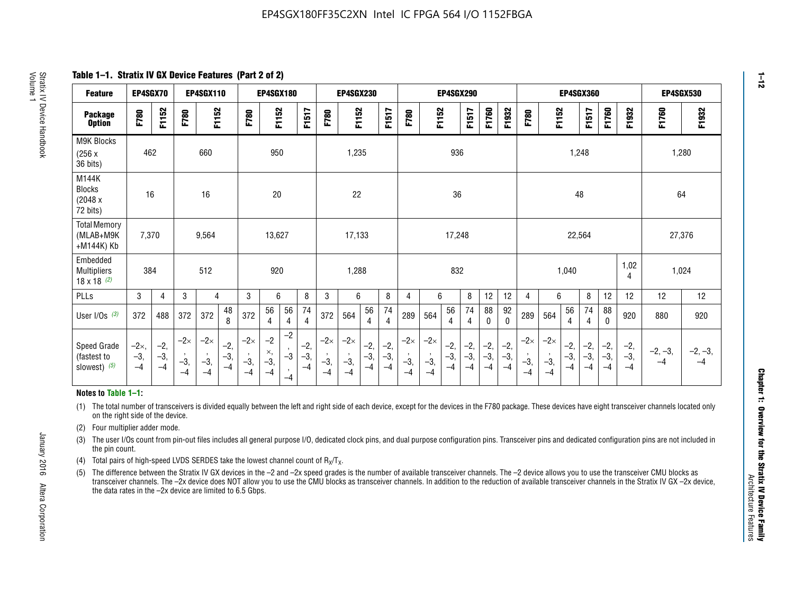**Table 1–1. Stratix IV GX Device Features (Part 2 of 2)**

| <b>Feature</b>                                       | EP4SGX70                |                        |                             | <b>EP4SGX110</b>            |                      |                             | <b>EP4SGX180</b>          |                      | <b>EP4SGX230</b>       |                             |                             |                      |                      |                            |                             | EP4SGX290              |                      |                      |                        |                             |                             |                        | <b>EP4SGX360</b>      |                      |                        | <b>EP4SGX530</b>  |                 |
|------------------------------------------------------|-------------------------|------------------------|-----------------------------|-----------------------------|----------------------|-----------------------------|---------------------------|----------------------|------------------------|-----------------------------|-----------------------------|----------------------|----------------------|----------------------------|-----------------------------|------------------------|----------------------|----------------------|------------------------|-----------------------------|-----------------------------|------------------------|-----------------------|----------------------|------------------------|-------------------|-----------------|
| <b>Package</b><br><b>Option</b>                      | F780                    | F1152                  | F780                        | F1152                       |                      | F780                        | F1152                     |                      | F1517                  | F780                        | F1152                       |                      | F1517                | F780                       | F1152                       |                        | F1517                | F1760                | F1932                  | F780                        | F1152                       |                        | F1517                 | F1760                | F1932                  | F1760             | F1932           |
| M9K Blocks<br>(256x)<br>36 bits)                     | 462                     |                        |                             | 660                         |                      |                             | 950                       |                      |                        |                             | 1,235                       |                      |                      |                            |                             | 936                    |                      |                      |                        |                             |                             | 1,248                  |                       |                      |                        |                   | 1,280           |
| M144K<br><b>Blocks</b><br>(2048 x<br>72 bits)        | 16                      |                        |                             | 16                          |                      |                             | 20                        |                      |                        |                             | 22                          |                      |                      |                            |                             | 36                     |                      |                      |                        |                             |                             | 48                     |                       |                      |                        | 64                |                 |
| <b>Total Memory</b><br>(MLAB+M9K<br>+M144K) Kb       | 7,370                   |                        |                             | 9,564                       |                      |                             | 13,627                    |                      |                        |                             | 17,133                      |                      |                      |                            |                             | 17,248                 |                      |                      |                        |                             |                             | 22,564                 |                       |                      |                        | 27,376            |                 |
| Embedded<br><b>Multipliers</b><br>$18 \times 18$ (2) | 384                     |                        |                             | 512                         |                      |                             | 920                       |                      |                        |                             | 1,288                       |                      |                      | 832                        |                             |                        |                      | 1,040                |                        |                             | 1,02<br>4                   | 1,024                  |                       |                      |                        |                   |                 |
| PLLs                                                 | 3                       | $\overline{4}$         | 3                           | 4                           |                      | 3                           | 6                         |                      | 8                      | 3                           | 6                           |                      | 8                    | 4                          | 6                           |                        | 8                    | 12                   | 12                     | 4                           | 6                           |                        | 8                     | 12                   | 12                     | 12                | 12              |
| User $I/Os$ (3)                                      | 372                     | 488                    | 372                         | 372                         | 48<br>8              | 372                         | 56<br>4                   | 56<br>4              | 74<br>4                | 372                         | 564                         | 56<br>$\overline{4}$ | 74<br>$\overline{4}$ | 289                        | 564                         | 56<br>4                | 74<br>4              | 88<br>0              | 92<br>$\mathbf 0$      | 289                         | 564                         | 56<br>4                | 74<br>4               | 88<br>$\mathbf{0}$   | 920                    | 880               | 920             |
| Speed Grade<br>(fastest to<br>slowest) (5)           | $-2x,$<br>$-3,$<br>$-4$ | $-2,$<br>$-3,$<br>$-4$ | $-2\times$<br>$-3,$<br>$-4$ | $-2\times$<br>$-3,$<br>$-4$ | $-2,$<br>-3,<br>$-4$ | $-2\times$<br>$-3,$<br>$-4$ | $-2$<br>×,<br>$-3,$<br>-4 | $-2$<br>$-3$<br>$-4$ | $-2,$<br>$-3,$<br>$-4$ | $-2\times$<br>$-3,$<br>$-4$ | $-2\times$<br>$-3,$<br>$-4$ | $-2,$<br>-3,<br>$-4$ | $-2,$<br>-3,<br>$-4$ | $-2\times$<br>$-3$<br>$-4$ | $-2\times$<br>$-3,$<br>$-4$ | $-2,$<br>$-3,$<br>$-4$ | $-2,$<br>-3,<br>$-4$ | $-2,$<br>-3,<br>$-4$ | $-2,$<br>$-3,$<br>$-4$ | $-2\times$<br>$-3,$<br>$-4$ | $-2\times$<br>$-3,$<br>$-4$ | $-2,$<br>$-3,$<br>$-4$ | $-2,$<br>$-3$<br>$-4$ | $-2,$<br>-3,<br>$-4$ | $-2,$<br>$-3,$<br>$-4$ | $-2, -3,$<br>$-4$ | $-2, -3,$<br>-4 |

#### **Notes to Table 1–1:**

(1) The total number of transceivers is divided equally between the left and right side of each device, except for the devices in the F780 package. These devices have eight transceiver channels located only on the right side of the device.

- (2) Four multiplier adder mode.
- (3) The user I/Os count from pin-out files includes all general purpose I/O, dedicated clock pins, and dual purpose configuration pins. Transceiver pins and dedicated configuration pins are not included in the pin count.
- (4) Total pairs of high-speed LVDS SERDES take the lowest channel count of  $R_X/T_X$ .
- (5) The difference between the Stratix IV GX devices in the –2 and –2x speed grades is the number of available transceiver channels. The –2 device allows you to use the transceiver CMU blocks as transceiver channels. The –2x device does NOT allow you to use the CMU blocks as transceiver channels. In addition to the reduction of available transceiver channels in the Stratix IV GX –2x device, the data rates in the –2x device are limited to 6.5 Gbps.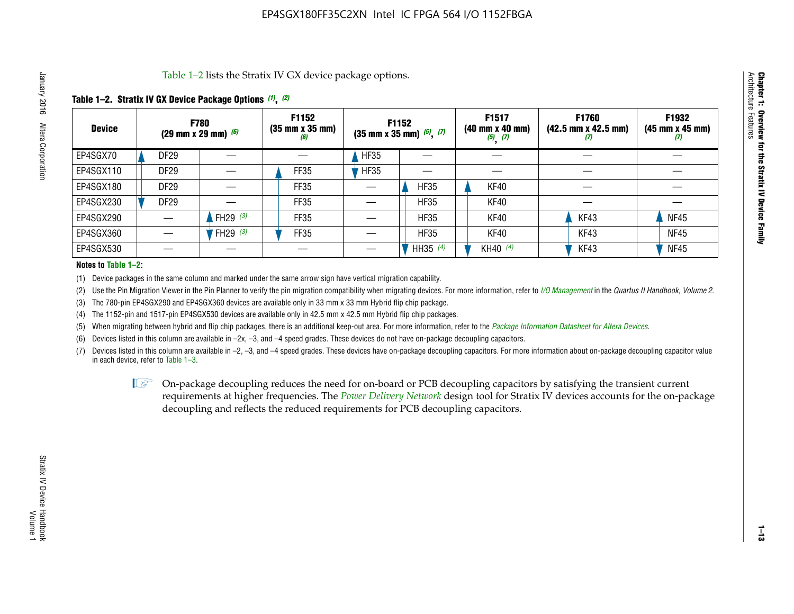Table 1–2 lists the Stratix IV GX device package options.

#### **Table 1–2. Stratix IV GX Device Package Options** *(1)***,** *(2)*

| <b>Device</b> | (29 mm x 29 mm) $(6)$ | <b>F780</b>          | F1152<br>$(35 \, \text{mm} \times 35 \, \text{mm})$<br>(6) |             | <b>F1152</b><br>$(35$ mm x 35 mm) $(5)$ , $(7)$ | F1517<br>(40 mm x 40 mm)<br>$(5)$ $(7)$ | <b>F1760</b><br>$(42.5 \text{ mm} \times 42.5 \text{ mm})$<br>W | F1932<br>$(45 \, \text{mm} \times 45 \, \text{mm})$<br>$\boldsymbol{v}$ |
|---------------|-----------------------|----------------------|------------------------------------------------------------|-------------|-------------------------------------------------|-----------------------------------------|-----------------------------------------------------------------|-------------------------------------------------------------------------|
| EP4SGX70      | DF <sub>29</sub>      |                      |                                                            | <b>HF35</b> |                                                 |                                         |                                                                 |                                                                         |
| EP4SGX110     | <b>DF29</b>           |                      | FF35                                                       | <b>HF35</b> |                                                 |                                         |                                                                 |                                                                         |
| EP4SGX180     | DF29                  |                      | FF35                                                       |             | <b>HF35</b>                                     | KF40                                    |                                                                 |                                                                         |
| EP4SGX230     | <b>DF29</b>           |                      | FF35                                                       |             | <b>HF35</b>                                     | KF40                                    |                                                                 |                                                                         |
| EP4SGX290     |                       | FH29 $(3)$           | FF35                                                       |             | <b>HF35</b>                                     | KF40                                    | KF43                                                            | <b>NF45</b>                                                             |
| EP4SGX360     |                       | 'FH29 <sup>(3)</sup> | FF35                                                       |             | <b>HF35</b>                                     | KF40                                    | KF43                                                            | <b>NF45</b>                                                             |
| EP4SGX530     |                       |                      |                                                            |             | HH35 $(4)$                                      | KH40 (4)                                | KF43                                                            | <b>NF45</b>                                                             |

#### **Notes to Table 1–2:**

(1) Device packages in the same column and marked under the same arrow sign have vertical migration capability.

(2) Use the Pin Migration Viewer in the Pin Planner to verify the pin migration compatibility when migrating devices. For more information, refer to *[I/O Management](http://www.altera.com/literature/hb/qts/qts_qii52013.pdf)* in the *Quartus II Handbook, Volume 2*.

(3) The 780-pin EP4SGX290 and EP4SGX360 devices are available only in 33 mm x 33 mm Hybrid flip chip package.

(4) The 1152-pin and 1517-pin EP4SGX530 devices are available only in 42.5 mm x 42.5 mm Hybrid flip chip packages.

(5) When migrating between hybrid and flip chip packages, there is an additional keep-out area. For more information, refer to the *[Package Information Datasheet for Altera Devices](http://www.altera.com/literature/ds/dspkg.pdf)*.

(6) Devices listed in this column are available in –2x, –3, and –4 speed grades. These devices do not have on-package decoupling capacitors.

(7) Devices listed in this column are available in –2, –3, and –4 speed grades. These devices have on-package decoupling capacitors. For more information about on-package decoupling capacitor value in each device, refer to Table 1–3.

 $\mathbb{L}$ s On-package decoupling reduces the need for on-board or PCB decoupling capacitors by satisfying the transient current requirements at higher frequencies. The *[Power Delivery Network](http://www.altera.com/literature/ug/pdn_tool_stxiv.zip)* design tool for Stratix IV devices accounts for the on-package decoupling and reflects the reduced requirements for PCB decoupling capacitors.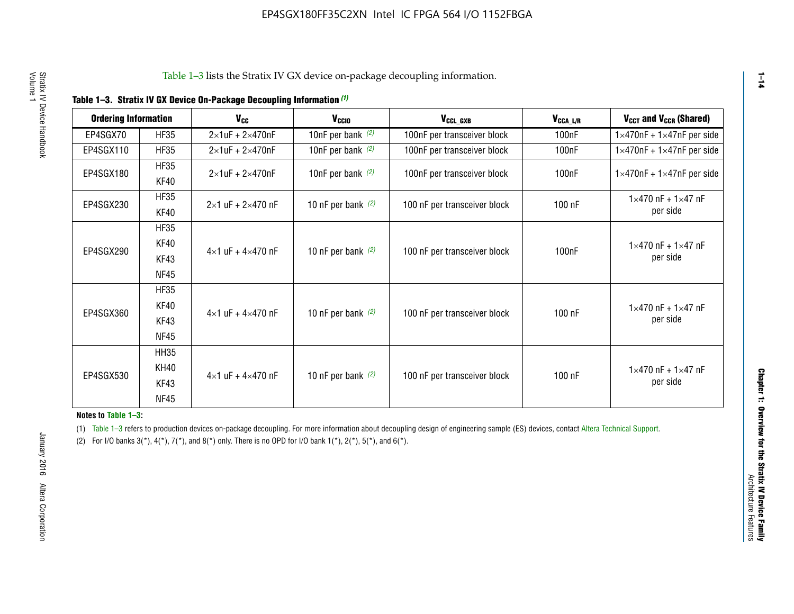|  | Table 1-3. Stratix IV GX Device On-Package Decoupling Information (1) |  |
|--|-----------------------------------------------------------------------|--|
|--|-----------------------------------------------------------------------|--|

| <b>Ordering Information</b> |                     | <b>V<sub>cc</sub></b>               | $V_{CGI0}$           | V <sub>CCL GXB</sub>         | V <sub>CCA_L/R</sub> | $V_{CCT}$ and $V_{CCR}$ (Shared)                 |
|-----------------------------|---------------------|-------------------------------------|----------------------|------------------------------|----------------------|--------------------------------------------------|
| EP4SGX70                    | <b>HF35</b>         | $2\times1$ uF + $2\times470$ nF     | 10nF per bank $(2)$  | 100nF per transceiver block  | 100 <sub>n</sub> F   | $1 \times 470$ nF + $1 \times 47$ nF per side    |
| EP4SGX110                   | <b>HF35</b>         | $2\times1$ uF + $2\times470$ nF     | 10nF per bank $(2)$  | 100nF per transceiver block  | 100 <sub>nF</sub>    | $1 \times 470$ nF + $1 \times 47$ nF per side    |
| EP4SGX180                   | <b>HF35</b><br>KF40 | $2\times1$ uF + $2\times470$ nF     | 10nF per bank $(2)$  | 100nF per transceiver block  | 100 <sub>n</sub> F   | $1 \times 470$ nF + $1 \times 47$ nF per side    |
| EP4SGX230                   | <b>HF35</b><br>KF40 | $2 \times 1$ uF + $2 \times 470$ nF | 10 nF per bank $(2)$ | 100 nF per transceiver block | 100 nF               | $1 \times 470$ nF + $1 \times 47$ nF<br>per side |
|                             | <b>HF35</b>         |                                     |                      |                              |                      |                                                  |
| EP4SGX290                   | KF40                |                                     | 10 nF per bank $(2)$ | 100 nF per transceiver block | 100 <sub>n</sub> F   | $1 \times 470$ nF + $1 \times 47$ nF             |
|                             | KF43                | $4 \times 1$ uF + $4 \times 470$ nF |                      |                              |                      | per side                                         |
|                             | <b>NF45</b>         |                                     |                      |                              |                      |                                                  |
|                             | <b>HF35</b>         |                                     |                      |                              |                      |                                                  |
| EP4SGX360                   | KF40                | $4 \times 1$ uF + $4 \times 470$ nF |                      |                              | 100 nF               | $1 \times 470$ nF + $1 \times 47$ nF             |
|                             | KF43                |                                     | 10 nF per bank $(2)$ | 100 nF per transceiver block |                      | per side                                         |
|                             | <b>NF45</b>         |                                     |                      |                              |                      |                                                  |
|                             | <b>HH35</b>         |                                     |                      |                              |                      |                                                  |
|                             | <b>KH40</b>         |                                     |                      |                              |                      | $1 \times 470$ nF + $1 \times 47$ nF             |
| EP4SGX530                   | KF43                | $4 \times 1$ uF + $4 \times 470$ nF | 10 nF per bank $(2)$ | 100 nF per transceiver block | 100 nF               | per side                                         |
|                             | <b>NF45</b>         |                                     |                      |                              |                      |                                                  |

**Notes to Table 1–3:**

(1) Table 1-3 refers to production devices on-package decoupling. For more information about decoupling design of engineering sample (ES) devices, contact [Altera Technical Support](http://mysupport.altera.com/eservice/login.asp).

(2) For I/O banks  $3(*)$ ,  $4(*)$ ,  $7(*)$ , and  $8(*)$  only. There is no OPD for I/O bank  $1(*)$ ,  $2(*)$ ,  $5(*)$ , and  $6(*)$ .

**1–14**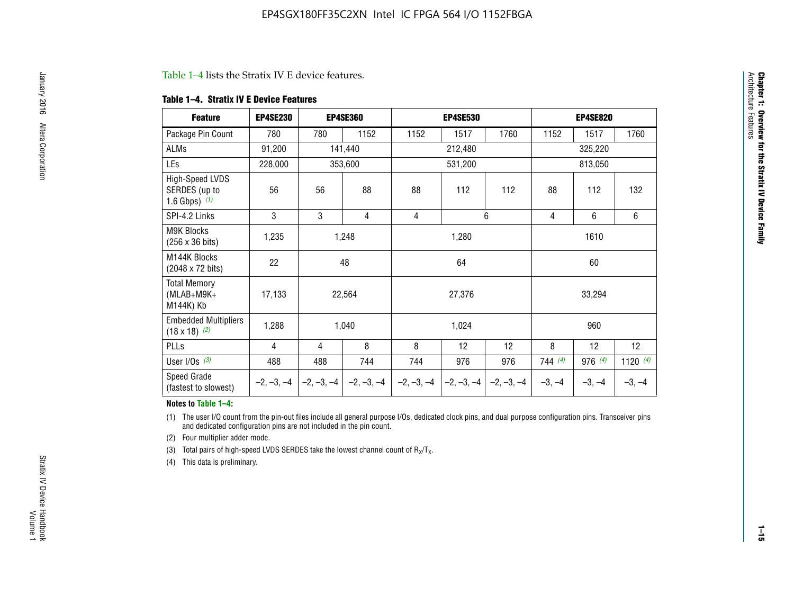#### Table 1–4 lists the Stratix IV E device features.

#### **Table 1–4. Stratix IV E Device Features**

| <b>Feature</b>                                      | <b>EP4SE230</b> |     | <b>EP4SE360</b>                        |              | <b>EP4SE530</b> |              |          | <b>EP4SE820</b> |            |
|-----------------------------------------------------|-----------------|-----|----------------------------------------|--------------|-----------------|--------------|----------|-----------------|------------|
| Package Pin Count                                   | 780             | 780 | 1152                                   | 1152         | 1517            | 1760         | 1152     | 1517            | 1760       |
| ALMs                                                | 91,200          |     | 141,440                                |              | 212,480         |              |          | 325,220         |            |
| LEs                                                 | 228,000         |     | 353,600                                |              | 531,200         |              |          | 813,050         |            |
| High-Speed LVDS<br>SERDES (up to<br>1.6 Gbps) $(1)$ | 56              | 56  | 88                                     | 88           | 112             | 112          | 88       | 112             | 132        |
| SPI-4.2 Links                                       | 3               | 3   | 4                                      | 4            |                 | 6            | 4        | 6               | 6          |
| <b>M9K Blocks</b><br>(256 x 36 bits)                | 1,235           |     | 1,248                                  |              | 1,280           |              |          | 1610            |            |
| M144K Blocks<br>(2048 x 72 bits)                    | 22              |     | 48                                     |              | 64              |              |          | 60              |            |
| <b>Total Memory</b><br>$(MLAB+M9K+$<br>M144K) Kb    | 17,133          |     | 22,564                                 |              | 27,376          |              |          | 33,294          |            |
| <b>Embedded Multipliers</b><br>$(18 \times 18)$ (2) | 1,288           |     | 1,040                                  |              | 1,024           |              |          | 960             |            |
| PLLs                                                | 4               | 4   | 8                                      | 8            | 12              | 12           | 8        | 12              | 12         |
| User I/Os $(3)$                                     | 488             | 488 | 744                                    | 744          | 976             | 976          | 744(4)   | 976 (4)         | 1120 $(4)$ |
| Speed Grade<br>(fastest to slowest)                 |                 |     | $-2, -3, -4$ $-2, -3, -4$ $-2, -3, -4$ | $-2, -3, -4$ | $-2, -3, -4$    | $-2, -3, -4$ | $-3, -4$ | $-3, -4$        | $-3, -4$   |

#### **Notes to Table 1–4:**

(1) The user I/O count from the pin-out files include all general purpose I/Os, dedicated clock pins, and dual purpose configuration pins. Transceiver pins and dedicated configuration pins are not included in the pin count.

(2) Four multiplier adder mode.

(3) Total pairs of high-speed LVDS SERDES take the lowest channel count of  $R_X/T_X$ .

(4) This data is preliminary.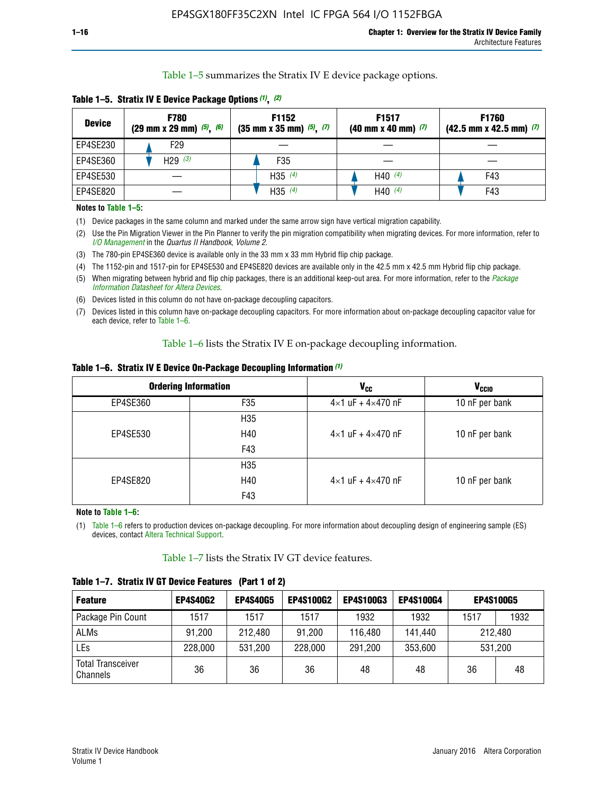Table 1–5 summarizes the Stratix IV E device package options.

| <b>Device</b> | <b>F780</b><br>$(29 \text{ mm} \times 29 \text{ mm})$ $(5)$ , $(6)$ | F1152<br>$(35 \text{ mm} \times 35 \text{ mm})$ $(5)$ $(7)$ | F <sub>1517</sub><br>$(40 \text{ mm} \times 40 \text{ mm})$ (7) | <b>F1760</b><br>$(42.5$ mm x 42.5 mm) $(7)$ |  |  |
|---------------|---------------------------------------------------------------------|-------------------------------------------------------------|-----------------------------------------------------------------|---------------------------------------------|--|--|
| EP4SE230      | F <sub>29</sub>                                                     |                                                             |                                                                 |                                             |  |  |
| EP4SE360      | H29 $(3)$                                                           | F35                                                         |                                                                 |                                             |  |  |
| EP4SE530      |                                                                     | H35 $(4)$                                                   | H40 $(4)$                                                       | F43                                         |  |  |
| EP4SE820      |                                                                     | H35 $(4)$                                                   | H40 $(4)$                                                       | F43                                         |  |  |

**Table 1–5. Stratix IV E Device Package Options** *(1)***,** *(2)*

#### **Notes to Table 1–5:**

(1) Device packages in the same column and marked under the same arrow sign have vertical migration capability.

(2) Use the Pin Migration Viewer in the Pin Planner to verify the pin migration compatibility when migrating devices. For more information, refer to *[I/O Management](http://www.altera.com/literature/hb/qts/qts_qii52013.pdf)* in the *Quartus II Handbook, Volume 2*.

(3) The 780-pin EP4SE360 device is available only in the 33 mm x 33 mm Hybrid flip chip package.

(4) The 1152-pin and 1517-pin for EP4SE530 and EP4SE820 devices are available only in the 42.5 mm x 42.5 mm Hybrid flip chip package.

(5) When migrating between hybrid and flip chip packages, there is an additional keep-out area. For more information, refer to the *[Package](http://www.altera.com/literature/ds/dspkg.pdf)  [Information Datasheet for Altera Devices](http://www.altera.com/literature/ds/dspkg.pdf)*.

(6) Devices listed in this column do not have on-package decoupling capacitors.

(7) Devices listed in this column have on-package decoupling capacitors. For more information about on-package decoupling capacitor value for each device, refer to Table 1–6.

Table 1–6 lists the Stratix IV E on-package decoupling information.

| Table 1–6. Stratix IV E Device On-Package Decoupling Information (1) |  |  |  |  |  |
|----------------------------------------------------------------------|--|--|--|--|--|
|----------------------------------------------------------------------|--|--|--|--|--|

|          | <b>Ordering Information</b> | V <sub>cc</sub>                     | <b>V<sub>CCIO</sub></b> |
|----------|-----------------------------|-------------------------------------|-------------------------|
| EP4SE360 | F <sub>35</sub>             | $4 \times 1$ uF + $4 \times 470$ nF | 10 nF per bank          |
|          | H35                         |                                     |                         |
| EP4SE530 | H40                         | $4\times1$ uF + $4\times470$ nF     | 10 nF per bank          |
|          | F43                         |                                     |                         |
|          | H35                         |                                     |                         |
| EP4SE820 | H40                         | $4\times1$ uF + $4\times470$ nF     | 10 nF per bank          |
|          | F43                         |                                     |                         |

**Note to Table 1–6:**

(1) Table 1–6 refers to production devices on-package decoupling. For more information about decoupling design of engineering sample (ES) devices, contact [Altera Technical Support](http://mysupport.altera.com/eservice/login.asp).

Table 1–7 lists the Stratix IV GT device features.

| <b>Feature</b>                       | <b>EP4S40G2</b> | <b>EP4S40G5</b> | <b>EP4S100G2</b> | <b>EP4S100G3</b> | <b>EP4S100G4</b> |      | <b>EP4S100G5</b> |
|--------------------------------------|-----------------|-----------------|------------------|------------------|------------------|------|------------------|
| Package Pin Count                    | 1517            | 1517            | 1517             | 1932             | 1932             | 1517 | 1932             |
| <b>ALMs</b>                          | 91,200          | 212,480         | 91,200           | 116,480          | 141,440          |      | 212.480          |
| LEs                                  | 228,000         | 531,200         | 228,000          | 291,200          | 353,600          |      | 531,200          |
| <b>Total Transceiver</b><br>Channels | 36              | 36              | 36               | 48               | 48               | 36   | 48               |

**Table 1–7. Stratix IV GT Device Features (Part 1 of 2)**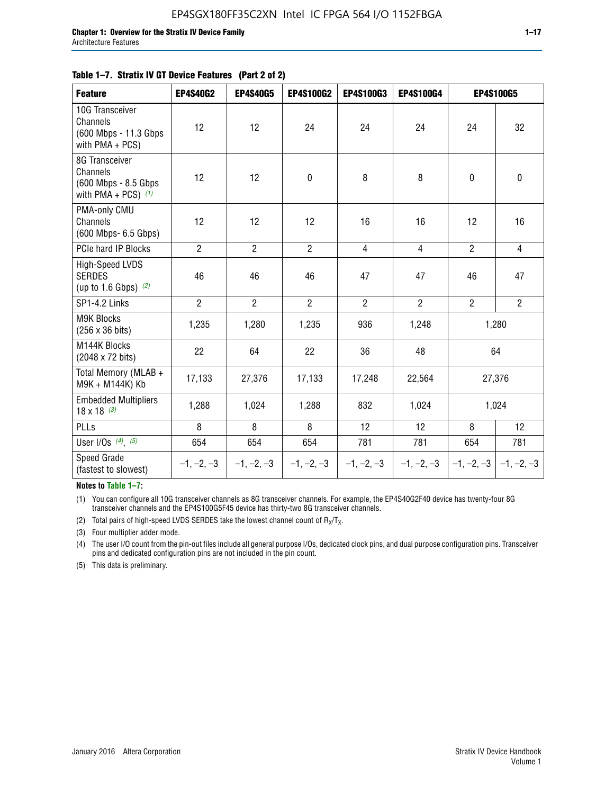#### **Table 1–7. Stratix IV GT Device Features (Part 2 of 2)**

| <b>Feature</b>                                                              | <b>EP4S40G2</b> | <b>EP4S40G5</b> | <b>EP4S100G2</b> | <b>EP4S100G3</b> | <b>EP4S100G4</b> |                | <b>EP4S100G5</b>          |
|-----------------------------------------------------------------------------|-----------------|-----------------|------------------|------------------|------------------|----------------|---------------------------|
| 10G Transceiver<br>Channels<br>(600 Mbps - 11.3 Gbps<br>with PMA + PCS)     | 12              | 12              | 24               | 24               | 24               | 24             | 32                        |
| 8G Transceiver<br>Channels<br>(600 Mbps - 8.5 Gbps<br>with PMA + PCS) $(1)$ | 12              | 12              | $\pmb{0}$        | 8                | 8                | $\mathbf 0$    | $\mathbf 0$               |
| PMA-only CMU<br>Channels<br>(600 Mbps- 6.5 Gbps)                            | 12              | 12              | 12               | 16               | 16               | 12             | 16                        |
| PCIe hard IP Blocks                                                         | $\overline{2}$  | $\overline{2}$  | $\overline{2}$   | $\overline{4}$   | $\overline{4}$   | $\overline{2}$ | $\overline{4}$            |
| <b>High-Speed LVDS</b><br><b>SERDES</b><br>(up to 1.6 Gbps) $(2)$           | 46              | 46              | 46               | 47               | 47               | 46             | 47                        |
| SP1-4.2 Links                                                               | $\overline{2}$  | $\overline{2}$  | $\overline{2}$   | $\overline{2}$   | $\overline{2}$   | $\overline{2}$ | $\overline{2}$            |
| <b>M9K Blocks</b><br>(256 x 36 bits)                                        | 1,235           | 1,280           | 1,235            | 936              | 1,248            |                | 1,280                     |
| M144K Blocks<br>(2048 x 72 bits)                                            | 22              | 64              | 22               | 36               | 48               |                | 64                        |
| Total Memory (MLAB +<br>M9K + M144K) Kb                                     | 17,133          | 27,376          | 17,133           | 17,248           | 22,564           |                | 27,376                    |
| <b>Embedded Multipliers</b><br>$18 \times 18^{(3)}$                         | 1,288           | 1,024           | 1,288            | 832              | 1,024            | 1,024          |                           |
| <b>PLLs</b>                                                                 | 8               | 8               | 8                | 12               | 12               | 8              | 12                        |
| User I/Os $(4)$ , $(5)$                                                     | 654             | 654             | 654              | 781              | 781              | 654            | 781                       |
| Speed Grade<br>(fastest to slowest)                                         | $-1, -2, -3$    | $-1, -2, -3$    | $-1, -2, -3$     | $-1, -2, -3$     | $-1, -2, -3$     |                | $-1, -2, -3$ $-1, -2, -3$ |

**Notes to Table 1–7:**

(1) You can configure all 10G transceiver channels as 8G transceiver channels. For example, the EP4S40G2F40 device has twenty-four 8G transceiver channels and the EP4S100G5F45 device has thirty-two 8G transceiver channels.

(2) Total pairs of high-speed LVDS SERDES take the lowest channel count of  $R_X/T_X$ .

(3) Four multiplier adder mode.

(4) The user I/O count from the pin-out files include all general purpose I/Os, dedicated clock pins, and dual purpose configuration pins. Transceiver pins and dedicated configuration pins are not included in the pin count.

(5) This data is preliminary.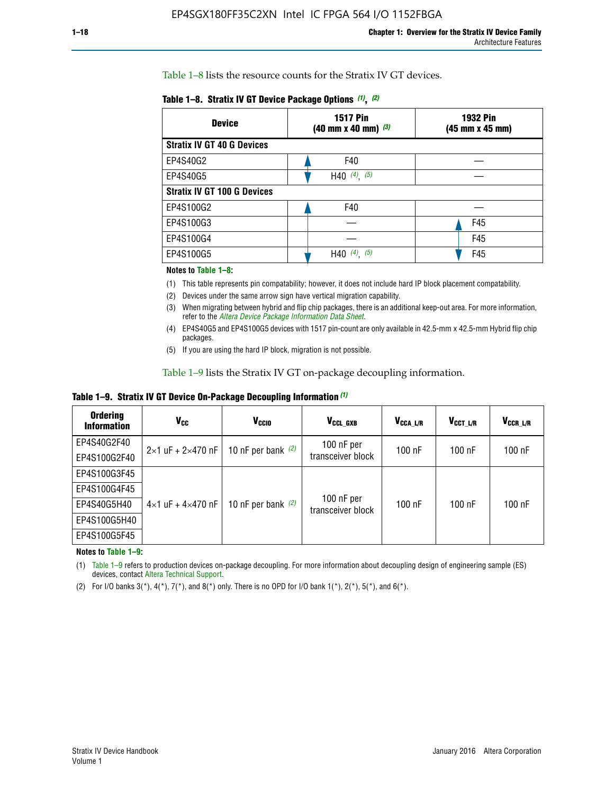Table 1–8 lists the resource counts for the Stratix IV GT devices.

|  | Table 1-8. Stratix IV GT Device Package Options (1), (2) |  |  |  |  |  |
|--|----------------------------------------------------------|--|--|--|--|--|
|--|----------------------------------------------------------|--|--|--|--|--|

| <b>Device</b>                      | <b>1517 Pin</b><br>$(40 \text{ mm} \times 40 \text{ mm})$ $(3)$ | <b>1932 Pin</b><br>(45 mm x 45 mm) |  |
|------------------------------------|-----------------------------------------------------------------|------------------------------------|--|
| <b>Stratix IV GT 40 G Devices</b>  |                                                                 |                                    |  |
| EP4S40G2                           | F40                                                             |                                    |  |
| EP4S40G5                           | H40 $(4)$ , $(5)$                                               |                                    |  |
| <b>Stratix IV GT 100 G Devices</b> |                                                                 |                                    |  |
| EP4S100G2                          | F40                                                             |                                    |  |
| EP4S100G3                          |                                                                 | F45                                |  |
| EP4S100G4                          |                                                                 | F45                                |  |
| EP4S100G5                          | $(4)$ ,<br>(5)<br>H40                                           | F45                                |  |

#### **Notes to Table 1–8:**

(1) This table represents pin compatability; however, it does not include hard IP block placement compatability.

- (2) Devices under the same arrow sign have vertical migration capability.
- (3) When migrating between hybrid and flip chip packages, there is an additional keep-out area. For more information, refer to the *[Altera Device Package Information Data Sheet](http://www.altera.com/literature/ds/dspkg.pdf)*.
- (4) EP4S40G5 and EP4S100G5 devices with 1517 pin-count are only available in 42.5-mm x 42.5-mm Hybrid flip chip packages.
- (5) If you are using the hard IP block, migration is not possible.

Table 1–9 lists the Stratix IV GT on-package decoupling information.

**Table 1–9. Stratix IV GT Device On-Package Decoupling Information** *(1)*

| <b>Ordering</b><br><b>Information</b> | Vcc                                 | <b>V<sub>CCIO</sub></b> | V <sub>CCL GXB</sub>            | V <sub>CCA L/R</sub> | V <sub>CCT L/R</sub> | V <sub>CCR_L/R</sub> |
|---------------------------------------|-------------------------------------|-------------------------|---------------------------------|----------------------|----------------------|----------------------|
| EP4S40G2F40                           | $2 \times 1$ uF + $2 \times 470$ nF | 10 nF per bank $(2)$    | 100 nF per<br>transceiver block | $100$ nF             | $100$ nF             | 100 nF               |
| EP4S100G2F40                          |                                     |                         |                                 |                      |                      |                      |
| EP4S100G3F45                          |                                     | 10 nF per bank $(2)$    | 100 nF per<br>transceiver block | $100$ nF             | $100$ nF             | $100$ nF             |
| EP4S100G4F45                          |                                     |                         |                                 |                      |                      |                      |
| EP4S40G5H40                           | $4\times1$ uF + $4\times470$ nF     |                         |                                 |                      |                      |                      |
| EP4S100G5H40                          |                                     |                         |                                 |                      |                      |                      |
| EP4S100G5F45                          |                                     |                         |                                 |                      |                      |                      |

**Notes to Table 1–9:**

(1) Table 1–9 refers to production devices on-package decoupling. For more information about decoupling design of engineering sample (ES) devices, contact [Altera Technical Support](http://mysupport.altera.com/eservice/login.asp).

(2) For I/O banks  $3(*)$ ,  $4(*)$ ,  $7(*)$ , and  $8(*)$  only. There is no OPD for I/O bank  $1(*)$ ,  $2(*)$ ,  $5(*)$ , and  $6(*)$ .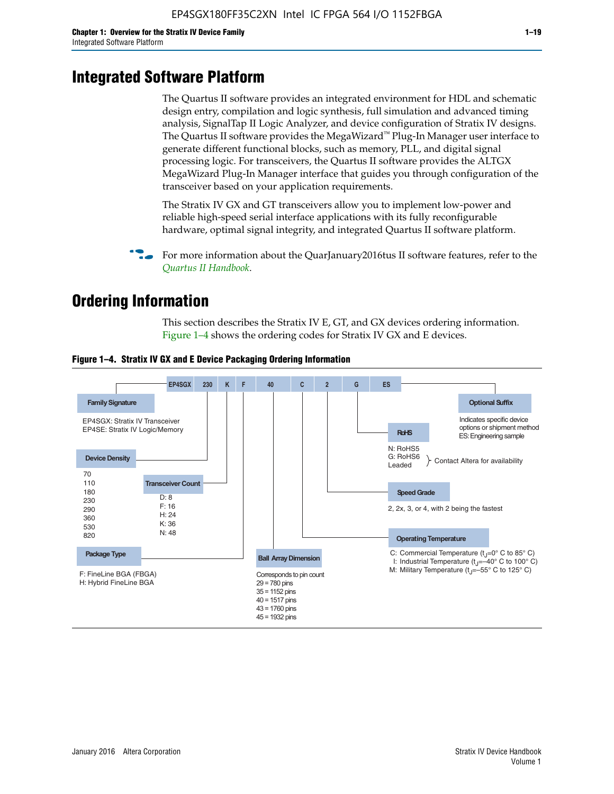# **Integrated Software Platform**

The Quartus II software provides an integrated environment for HDL and schematic design entry, compilation and logic synthesis, full simulation and advanced timing analysis, SignalTap II Logic Analyzer, and device configuration of Stratix IV designs. The Quartus II software provides the MegaWizard<sup> $M$ </sup> Plug-In Manager user interface to generate different functional blocks, such as memory, PLL, and digital signal processing logic. For transceivers, the Quartus II software provides the ALTGX MegaWizard Plug-In Manager interface that guides you through configuration of the transceiver based on your application requirements.

The Stratix IV GX and GT transceivers allow you to implement low-power and reliable high-speed serial interface applications with its fully reconfigurable hardware, optimal signal integrity, and integrated Quartus II software platform.

For more information about the QuarJanuary2016tus II software features, refer to the *[Quartus II Handbook](http://www.altera.com/literature/lit-qts.jsp)*.

# **Ordering Information**

This section describes the Stratix IV E, GT, and GX devices ordering information. Figure 1–4 shows the ordering codes for Stratix IV GX and E devices.



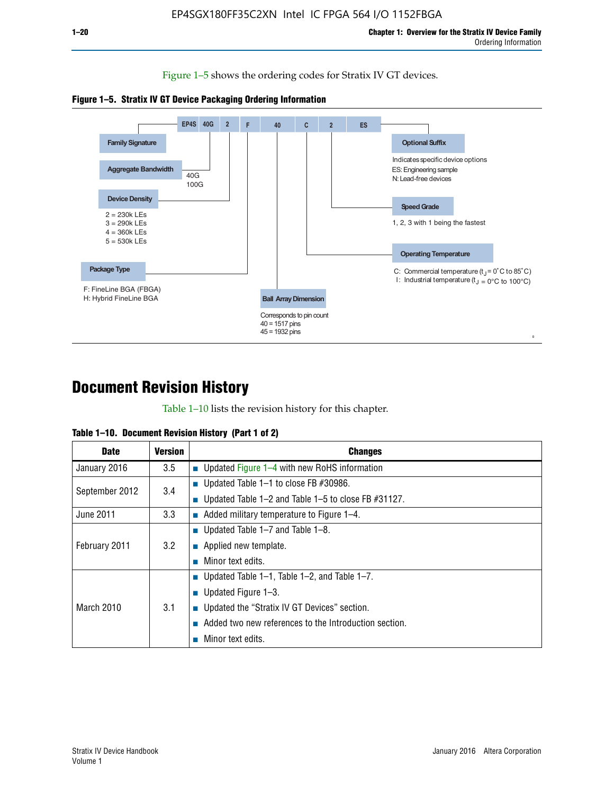Figure 1–5 shows the ordering codes for Stratix IV GT devices.

![](_page_20_Figure_3.jpeg)

![](_page_20_Figure_4.jpeg)

# **Document Revision History**

Table 1–10 lists the revision history for this chapter.

| <b>Date</b>       | Version | <b>Changes</b>                                         |
|-------------------|---------|--------------------------------------------------------|
| January 2016      | 3.5     | <b>Updated Figure 1–4 with new RoHS information</b>    |
| September 2012    | 3.4     | ■ Updated Table 1–1 to close FB $#30986$ .             |
|                   |         | Updated Table 1–2 and Table 1–5 to close FB $#31127$ . |
| June 2011         | 3.3     | Added military temperature to Figure 1–4.              |
| February 2011     | 3.2     | ■ Updated Table 1–7 and Table 1–8.                     |
|                   |         | $\blacksquare$ Applied new template.                   |
|                   |         | Minor text edits.                                      |
| <b>March 2010</b> | 3.1     | <b>Updated Table 1–1, Table 1–2, and Table 1–7.</b>    |
|                   |         | ■ Updated Figure $1-3$ .                               |
|                   |         | ■ Updated the "Stratix IV GT Devices" section.         |
|                   |         | Added two new references to the Introduction section.  |
|                   |         | Minor text edits.                                      |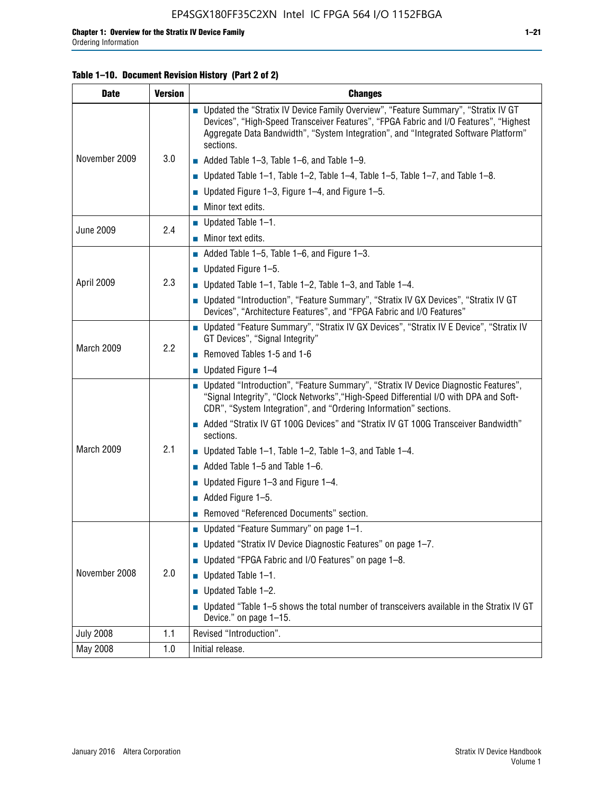#### **Table 1–10. Document Revision History (Part 2 of 2)**

| <b>Date</b>      | <b>Version</b> | <b>Changes</b>                                                                                                                                                                                                                                                                    |  |
|------------------|----------------|-----------------------------------------------------------------------------------------------------------------------------------------------------------------------------------------------------------------------------------------------------------------------------------|--|
|                  | 3.0            | ■ Updated the "Stratix IV Device Family Overview", "Feature Summary", "Stratix IV GT<br>Devices", "High-Speed Transceiver Features", "FPGA Fabric and I/O Features", "Highest<br>Aggregate Data Bandwidth", "System Integration", and "Integrated Software Platform"<br>sections. |  |
| November 2009    |                | $\blacksquare$ Added Table 1-3, Table 1-6, and Table 1-9.                                                                                                                                                                                                                         |  |
|                  |                | $\blacksquare$ Updated Table 1-1, Table 1-2, Table 1-4, Table 1-5, Table 1-7, and Table 1-8.                                                                                                                                                                                      |  |
|                  |                | ■ Updated Figure 1–3, Figure 1–4, and Figure 1–5.                                                                                                                                                                                                                                 |  |
|                  |                | $\blacksquare$ Minor text edits.                                                                                                                                                                                                                                                  |  |
| <b>June 2009</b> | 2.4            | $\blacksquare$ Updated Table 1-1.                                                                                                                                                                                                                                                 |  |
|                  |                | $\blacksquare$ Minor text edits.                                                                                                                                                                                                                                                  |  |
|                  | 2.3            | $\blacksquare$ Added Table 1–5, Table 1–6, and Figure 1–3.                                                                                                                                                                                                                        |  |
|                  |                | $\blacksquare$ Updated Figure 1-5.                                                                                                                                                                                                                                                |  |
| April 2009       |                | Updated Table $1-1$ , Table $1-2$ , Table $1-3$ , and Table $1-4$ .                                                                                                                                                                                                               |  |
|                  |                | ■ Updated "Introduction", "Feature Summary", "Stratix IV GX Devices", "Stratix IV GT<br>Devices", "Architecture Features", and "FPGA Fabric and I/O Features"                                                                                                                     |  |
| March 2009       | 2.2            | ■ Updated "Feature Summary", "Stratix IV GX Devices", "Stratix IV E Device", "Stratix IV<br>GT Devices", "Signal Integrity"                                                                                                                                                       |  |
|                  |                | Removed Tables 1-5 and 1-6                                                                                                                                                                                                                                                        |  |
|                  |                | $\blacksquare$ Updated Figure 1-4                                                                                                                                                                                                                                                 |  |
|                  |                | ■ Updated "Introduction", "Feature Summary", "Stratix IV Device Diagnostic Features",<br>"Signal Integrity", "Clock Networks", "High-Speed Differential I/O with DPA and Soft-<br>CDR", "System Integration", and "Ordering Information" sections.                                |  |
|                  |                | Added "Stratix IV GT 100G Devices" and "Stratix IV GT 100G Transceiver Bandwidth"<br>sections.                                                                                                                                                                                    |  |
| March 2009       | 2.1            | ■ Updated Table 1–1, Table 1–2, Table 1–3, and Table 1–4.                                                                                                                                                                                                                         |  |
|                  |                | $\blacksquare$ Added Table 1–5 and Table 1–6.                                                                                                                                                                                                                                     |  |
|                  |                | ■ Updated Figure 1–3 and Figure 1–4.                                                                                                                                                                                                                                              |  |
|                  |                | $\blacksquare$ Added Figure 1-5.                                                                                                                                                                                                                                                  |  |
|                  |                | Removed "Referenced Documents" section.                                                                                                                                                                                                                                           |  |
|                  | 2.0            | Updated "Feature Summary" on page 1-1.                                                                                                                                                                                                                                            |  |
| November 2008    |                | ■ Updated "Stratix IV Device Diagnostic Features" on page 1-7.                                                                                                                                                                                                                    |  |
|                  |                | Updated "FPGA Fabric and I/O Features" on page 1-8.                                                                                                                                                                                                                               |  |
|                  |                | $\blacksquare$ Updated Table 1-1.                                                                                                                                                                                                                                                 |  |
|                  |                | Updated Table 1-2.<br>П                                                                                                                                                                                                                                                           |  |
|                  |                | Updated "Table 1-5 shows the total number of transceivers available in the Stratix IV GT<br>Device." on page 1-15.                                                                                                                                                                |  |
| <b>July 2008</b> | 1.1            | Revised "Introduction".                                                                                                                                                                                                                                                           |  |
| May 2008         | 1.0            | Initial release.                                                                                                                                                                                                                                                                  |  |